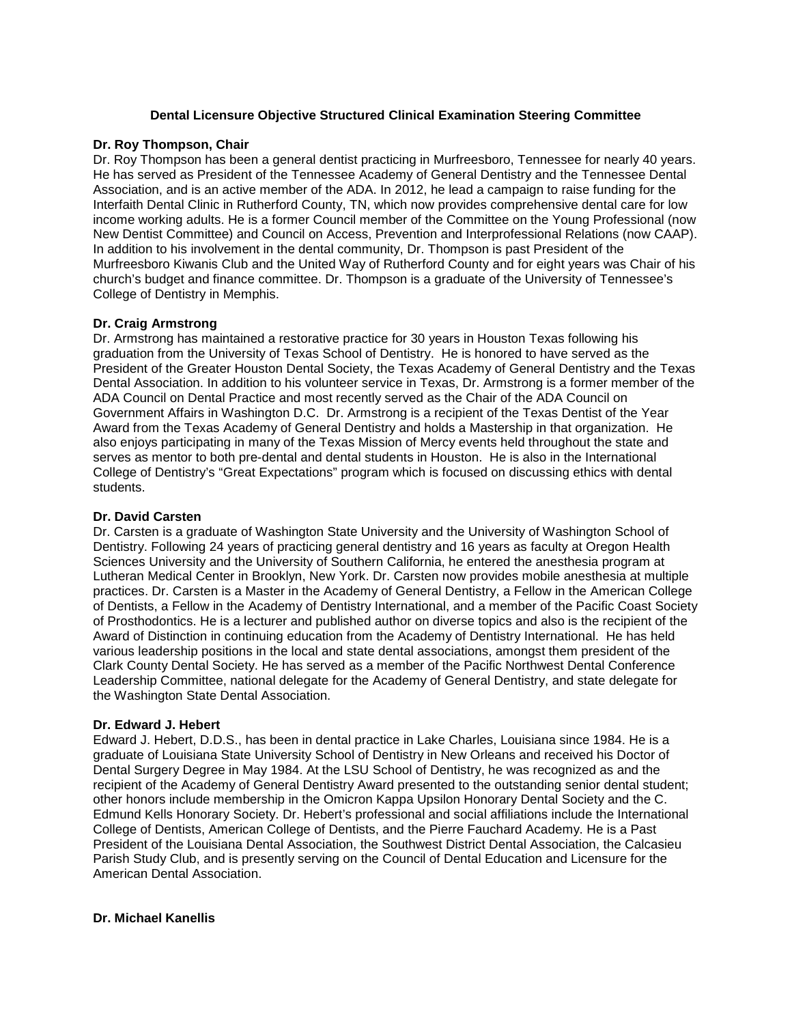### **Dental Licensure Objective Structured Clinical Examination Steering Committee**

### **Dr. Roy Thompson, Chair**

Dr. Roy Thompson has been a general dentist practicing in Murfreesboro, Tennessee for nearly 40 years. He has served as President of the Tennessee Academy of General Dentistry and the Tennessee Dental Association, and is an active member of the ADA. In 2012, he lead a campaign to raise funding for the Interfaith Dental Clinic in Rutherford County, TN, which now provides comprehensive dental care for low income working adults. He is a former Council member of the Committee on the Young Professional (now New Dentist Committee) and Council on Access, Prevention and Interprofessional Relations (now CAAP). In addition to his involvement in the dental community, Dr. Thompson is past President of the Murfreesboro Kiwanis Club and the United Way of Rutherford County and for eight years was Chair of his church's budget and finance committee. Dr. Thompson is a graduate of the University of Tennessee's College of Dentistry in Memphis.

## **Dr. Craig Armstrong**

Dr. Armstrong has maintained a restorative practice for 30 years in Houston Texas following his graduation from the University of Texas School of Dentistry. He is honored to have served as the President of the Greater Houston Dental Society, the Texas Academy of General Dentistry and the Texas Dental Association. In addition to his volunteer service in Texas, Dr. Armstrong is a former member of the ADA Council on Dental Practice and most recently served as the Chair of the ADA Council on Government Affairs in Washington D.C. Dr. Armstrong is a recipient of the Texas Dentist of the Year Award from the Texas Academy of General Dentistry and holds a Mastership in that organization. He also enjoys participating in many of the Texas Mission of Mercy events held throughout the state and serves as mentor to both pre-dental and dental students in Houston. He is also in the International College of Dentistry's "Great Expectations" program which is focused on discussing ethics with dental students.

#### **Dr. David Carsten**

Dr. Carsten is a graduate of Washington State University and the University of Washington School of Dentistry. Following 24 years of practicing general dentistry and 16 years as faculty at Oregon Health Sciences University and the University of Southern California, he entered the anesthesia program at Lutheran Medical Center in Brooklyn, New York. Dr. Carsten now provides mobile anesthesia at multiple practices. Dr. Carsten is a Master in the Academy of General Dentistry, a Fellow in the American College of Dentists, a Fellow in the Academy of Dentistry International, and a member of the Pacific Coast Society of Prosthodontics. He is a lecturer and published author on diverse topics and also is the recipient of the Award of Distinction in continuing education from the Academy of Dentistry International. He has held various leadership positions in the local and state dental associations, amongst them president of the Clark County Dental Society. He has served as a member of the Pacific Northwest Dental Conference Leadership Committee, national delegate for the Academy of General Dentistry, and state delegate for the Washington State Dental Association.

# **Dr. Edward J. Hebert**

Edward J. Hebert, D.D.S., has been in dental practice in Lake Charles, Louisiana since 1984. He is a graduate of Louisiana State University School of Dentistry in New Orleans and received his Doctor of Dental Surgery Degree in May 1984. At the LSU School of Dentistry, he was recognized as and the recipient of the Academy of General Dentistry Award presented to the outstanding senior dental student; other honors include membership in the Omicron Kappa Upsilon Honorary Dental Society and the C. Edmund Kells Honorary Society. Dr. Hebert's professional and social affiliations include the International College of Dentists, American College of Dentists, and the Pierre Fauchard Academy. He is a Past President of the Louisiana Dental Association, the Southwest District Dental Association, the Calcasieu Parish Study Club, and is presently serving on the Council of Dental Education and Licensure for the American Dental Association.

#### **Dr. Michael Kanellis**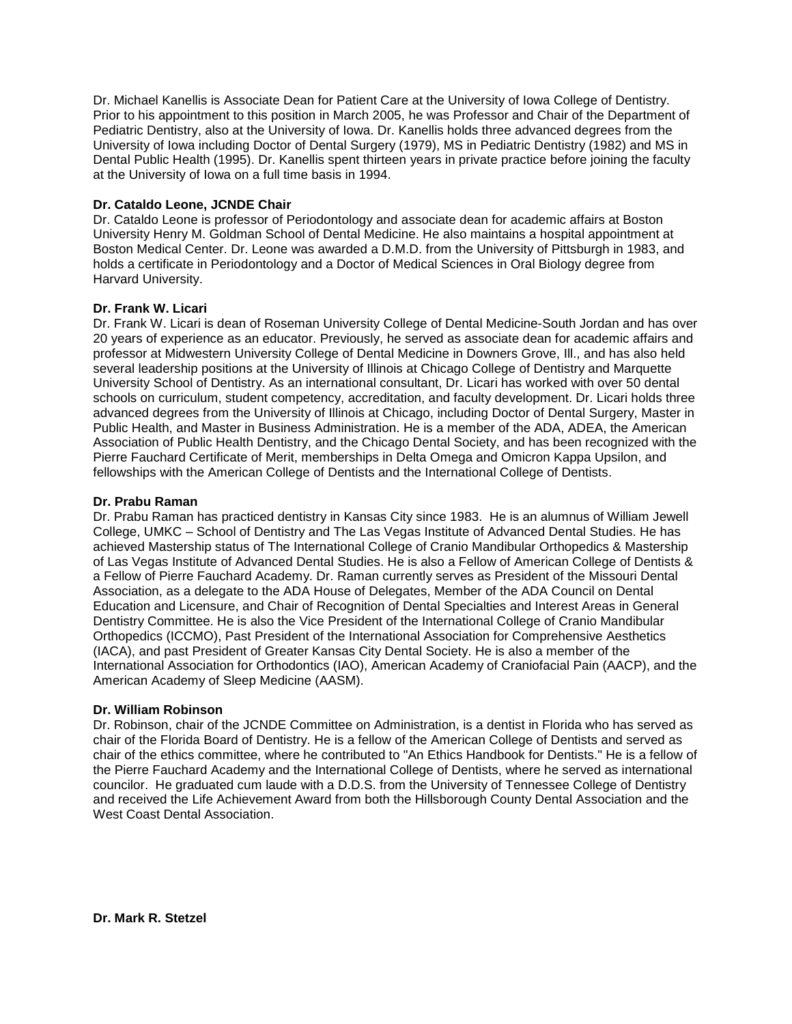Dr. Michael Kanellis is Associate Dean for Patient Care at the University of Iowa College of Dentistry. Prior to his appointment to this position in March 2005, he was Professor and Chair of the Department of Pediatric Dentistry, also at the University of Iowa. Dr. Kanellis holds three advanced degrees from the University of Iowa including Doctor of Dental Surgery (1979), MS in Pediatric Dentistry (1982) and MS in Dental Public Health (1995). Dr. Kanellis spent thirteen years in private practice before joining the faculty at the University of Iowa on a full time basis in 1994.

## **Dr. Cataldo Leone, JCNDE Chair**

Dr. Cataldo Leone is professor of Periodontology and associate dean for academic affairs at Boston University Henry M. Goldman School of Dental Medicine. He also maintains a hospital appointment at Boston Medical Center. Dr. Leone was awarded a D.M.D. from the University of Pittsburgh in 1983, and holds a certificate in Periodontology and a Doctor of Medical Sciences in Oral Biology degree from Harvard University.

## **Dr. Frank W. Licari**

Dr. Frank W. Licari is dean of Roseman University College of Dental Medicine-South Jordan and has over 20 years of experience as an educator. Previously, he served as associate dean for academic affairs and professor at Midwestern University College of Dental Medicine in Downers Grove, Ill., and has also held several leadership positions at the University of Illinois at Chicago College of Dentistry and Marquette University School of Dentistry. As an international consultant, Dr. Licari has worked with over 50 dental schools on curriculum, student competency, accreditation, and faculty development. Dr. Licari holds three advanced degrees from the University of Illinois at Chicago, including Doctor of Dental Surgery, Master in Public Health, and Master in Business Administration. He is a member of the ADA, ADEA, the American Association of Public Health Dentistry, and the Chicago Dental Society, and has been recognized with the Pierre Fauchard Certificate of Merit, memberships in Delta Omega and Omicron Kappa Upsilon, and fellowships with the American College of Dentists and the International College of Dentists.

## **Dr. Prabu Raman**

Dr. Prabu Raman has practiced dentistry in Kansas City since 1983. He is an alumnus of William Jewell College, UMKC – School of Dentistry and The Las Vegas Institute of Advanced Dental Studies. He has achieved Mastership status of The International College of Cranio Mandibular Orthopedics & Mastership of Las Vegas Institute of Advanced Dental Studies. He is also a Fellow of American College of Dentists & a Fellow of Pierre Fauchard Academy. Dr. Raman currently serves as President of the Missouri Dental Association, as a delegate to the ADA House of Delegates, Member of the ADA Council on Dental Education and Licensure, and Chair of Recognition of Dental Specialties and Interest Areas in General Dentistry Committee. He is also the Vice President of the International College of Cranio Mandibular Orthopedics (ICCMO), Past President of the International Association for Comprehensive Aesthetics (IACA), and past President of Greater Kansas City Dental Society. He is also a member of the International Association for Orthodontics (IAO), American Academy of Craniofacial Pain (AACP), and the American Academy of Sleep Medicine (AASM).

#### **Dr. William Robinson**

Dr. Robinson, chair of the JCNDE Committee on Administration, is a dentist in Florida who has served as chair of the Florida Board of Dentistry. He is a fellow of the American College of Dentists and served as chair of the ethics committee, where he contributed to "An Ethics Handbook for Dentists." He is a fellow of the Pierre Fauchard Academy and the International College of Dentists, where he served as international councilor. He graduated cum laude with a D.D.S. from the University of Tennessee College of Dentistry and received the Life Achievement Award from both the Hillsborough County Dental Association and the West Coast Dental Association.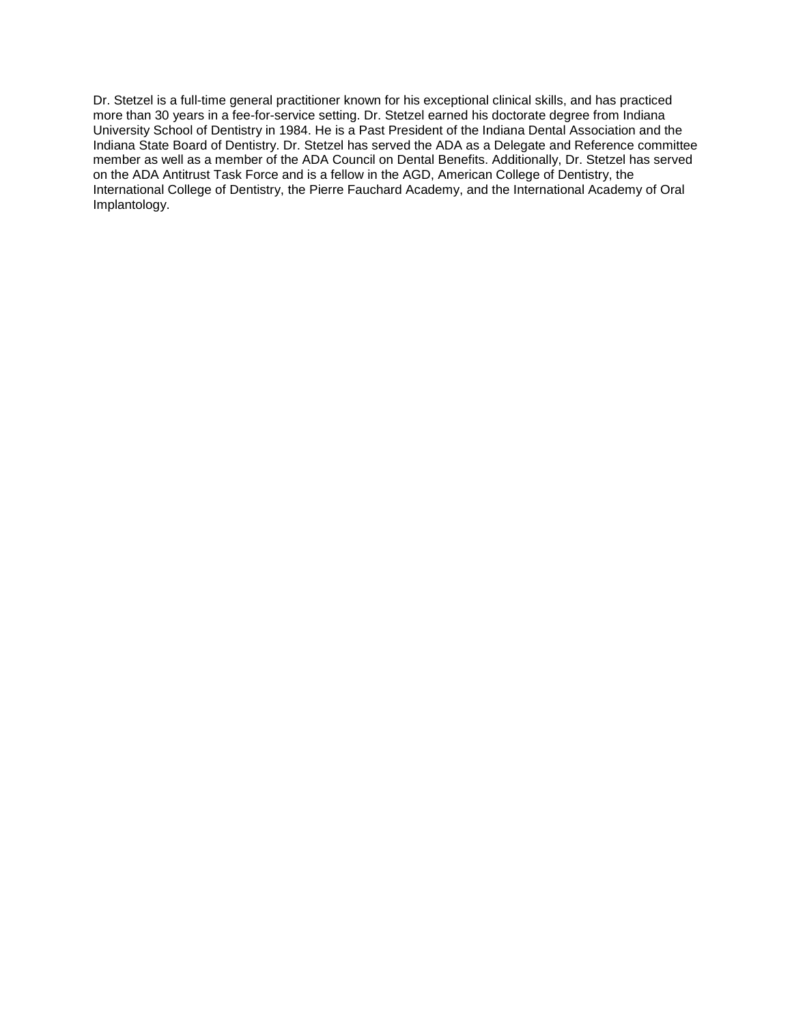Dr. Stetzel is a full-time general practitioner known for his exceptional clinical skills, and has practiced more than 30 years in a fee-for-service setting. Dr. Stetzel earned his doctorate degree from Indiana University School of Dentistry in 1984. He is a Past President of the Indiana Dental Association and the Indiana State Board of Dentistry. Dr. Stetzel has served the ADA as a Delegate and Reference committee member as well as a member of the ADA Council on Dental Benefits. Additionally, Dr. Stetzel has served on the ADA Antitrust Task Force and is a fellow in the AGD, American College of Dentistry, the International College of Dentistry, the Pierre Fauchard Academy, and the International Academy of Oral Implantology.